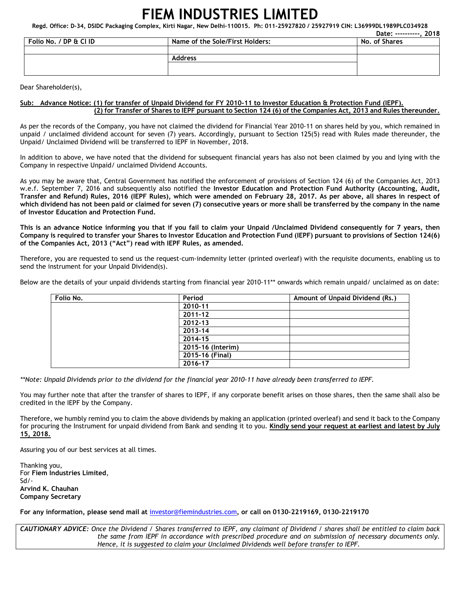## **FIEM INDUSTRIES LIMITED**

**Regd. Office: D-34, DSIDC Packaging Complex, Kirti Nagar, New Delhi-110015. Ph: 011-25927820 / 25927919 CIN: L36999DL1989PLC034928** 

|                        |                                 | 2018<br>Date: ----------. |
|------------------------|---------------------------------|---------------------------|
| Folio No. / DP & Cl ID | Name of the Sole/First Holders: | No. of Shares             |
|                        |                                 |                           |
|                        | <b>Address</b>                  |                           |
|                        |                                 |                           |
|                        |                                 |                           |

Dear Shareholder(s),

## **Sub: Advance Notice: (1) for transfer of Unpaid Dividend for FY 2010-11 to Investor Education & Protection Fund (IEPF). (2) for Transfer of Shares to IEPF pursuant to Section 124 (6) of the Companies Act, 2013 and Rules thereunder.**

As per the records of the Company, you have not claimed the dividend for Financial Year 2010-11 on shares held by you, which remained in unpaid / unclaimed dividend account for seven (7) years. Accordingly, pursuant to Section 125(5) read with Rules made thereunder, the Unpaid/ Unclaimed Dividend will be transferred to IEPF in November, 2018.

In addition to above, we have noted that the dividend for subsequent financial years has also not been claimed by you and lying with the Company in respective Unpaid/ unclaimed Dividend Accounts.

As you may be aware that, Central Government has notified the enforcement of provisions of Section 124 (6) of the Companies Act, 2013 w.e.f. September 7, 2016 and subsequently also notified the **Investor Education and Protection Fund Authority (Accounting, Audit, Transfer and Refund) Rules, 2016 (IEPF Rules), which were amended on February 28, 2017. As per above, all shares in respect of which dividend has not been paid or claimed for seven (7) consecutive years or more shall be transferred by the company in the name of Investor Education and Protection Fund.** 

**This is an advance Notice informing you that if you fail to claim your Unpaid /Unclaimed Dividend consequently for 7 years, then Company is required to transfer your Shares to Investor Education and Protection Fund (IEPF) pursuant to provisions of Section 124(6) of the Companies Act, 2013 ("Act") read with IEPF Rules, as amended.** 

Therefore, you are requested to send us the request-cum-indemnity letter (printed overleaf) with the requisite documents, enabling us to send the instrument for your Unpaid Dividend(s).

Below are the details of your unpaid dividends starting from financial year 2010-11\*\* onwards which remain unpaid/ unclaimed as on date:

| Folio No. | Period            | Amount of Unpaid Dividend (Rs.) |
|-----------|-------------------|---------------------------------|
|           | 2010-11           |                                 |
|           | 2011-12           |                                 |
|           | 2012-13           |                                 |
|           | 2013-14           |                                 |
|           | 2014-15           |                                 |
|           | 2015-16 (Interim) |                                 |
|           | 2015-16 (Final)   |                                 |
|           | 2016-17           |                                 |

*\*\*Note: Unpaid Dividends prior to the dividend for the financial year 2010-11 have already been transferred to IEPF.* 

You may further note that after the transfer of shares to IEPF, if any corporate benefit arises on those shares, then the same shall also be credited in the IEPF by the Company.

Therefore, we humbly remind you to claim the above dividends by making an application (printed overleaf) and send it back to the Company for procuring the Instrument for unpaid dividend from Bank and sending it to you. **Kindly send your request at earliest and latest by July 15, 2018.** 

Assuring you of our best services at all times.

Thanking you, For **Fiem Industries Limited**, Sd/- **Arvind K. Chauhan Company Secretary** 

**For any information, please send mail at** investor@fiemindustries.com**, or call on 0130–2219169, 0130–2219170** 

*CAUTIONARY ADVICE: Once the Dividend / Shares transferred to IEPF, any claimant of Dividend / shares shall be entitled to claim back the same from IEPF in accordance with prescribed procedure and on submission of necessary documents only. Hence, it is suggested to claim your Unclaimed Dividends well before transfer to IEPF.*